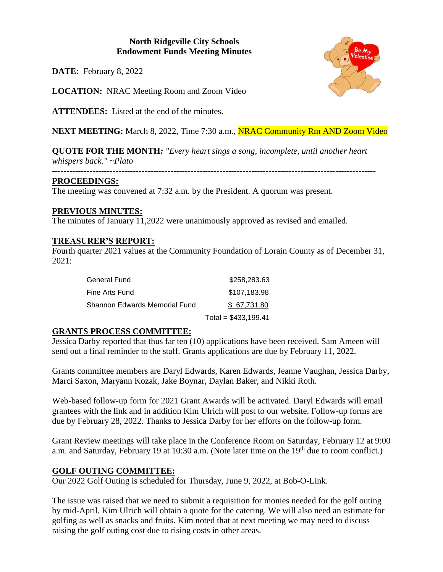### **North Ridgeville City Schools Endowment Funds Meeting Minutes**

**DATE:** February 8, 2022

**LOCATION:** NRAC Meeting Room and Zoom Video

**ATTENDEES:** Listed at the end of the minutes.

**NEXT MEETING:** March 8, 2022, Time 7:30 a.m., **NRAC Community Rm AND Zoom Video** 

**QUOTE FOR THE MONTH***: "Every heart sings a song, incomplete, until another heart whispers back." ~Plato*

#### **PROCEEDINGS:**

The meeting was convened at 7:32 a.m. by the President. A quorum was present.

## **PREVIOUS MINUTES:**

The minutes of January 11,2022 were unanimously approved as revised and emailed.

## **TREASURER'S REPORT:**

Fourth quarter 2021 values at the Community Foundation of Lorain County as of December 31, 2021:

| General Fund                  | \$258,283.63          |
|-------------------------------|-----------------------|
| Fine Arts Fund                | \$107,183.98          |
| Shannon Edwards Memorial Fund | \$67.731.80           |
|                               | Total = $$433,199.41$ |

# **GRANTS PROCESS COMMITTEE:**

Jessica Darby reported that thus far ten (10) applications have been received. Sam Ameen will send out a final reminder to the staff. Grants applications are due by February 11, 2022.

Grants committee members are Daryl Edwards, Karen Edwards, Jeanne Vaughan, Jessica Darby, Marci Saxon, Maryann Kozak, Jake Boynar, Daylan Baker, and Nikki Roth.

Web-based follow-up form for 2021 Grant Awards will be activated. Daryl Edwards will email grantees with the link and in addition Kim Ulrich will post to our website. Follow-up forms are due by February 28, 2022. Thanks to Jessica Darby for her efforts on the follow-up form.

Grant Review meetings will take place in the Conference Room on Saturday, February 12 at 9:00 a.m. and Saturday, February 19 at 10:30 a.m. (Note later time on the 19<sup>th</sup> due to room conflict.)

#### **GOLF OUTING COMMITTEE:**

Our 2022 Golf Outing is scheduled for Thursday, June 9, 2022, at Bob-O-Link.

The issue was raised that we need to submit a requisition for monies needed for the golf outing by mid-April. Kim Ulrich will obtain a quote for the catering. We will also need an estimate for golfing as well as snacks and fruits. Kim noted that at next meeting we may need to discuss raising the golf outing cost due to rising costs in other areas.

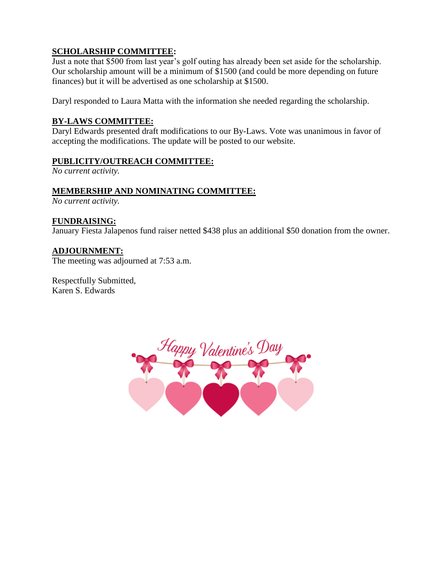# **SCHOLARSHIP COMMITTEE:**

Just a note that \$500 from last year's golf outing has already been set aside for the scholarship. Our scholarship amount will be a minimum of \$1500 (and could be more depending on future finances) but it will be advertised as one scholarship at \$1500.

Daryl responded to Laura Matta with the information she needed regarding the scholarship.

#### **BY-LAWS COMMITTEE:**

Daryl Edwards presented draft modifications to our By-Laws. Vote was unanimous in favor of accepting the modifications. The update will be posted to our website.

#### **PUBLICITY/OUTREACH COMMITTEE:**

*No current activity.*

#### **MEMBERSHIP AND NOMINATING COMMITTEE:**

*No current activity.*

#### **FUNDRAISING:**

January Fiesta Jalapenos fund raiser netted \$438 plus an additional \$50 donation from the owner.

## **ADJOURNMENT:**

The meeting was adjourned at 7:53 a.m.

Respectfully Submitted, Karen S. Edwards